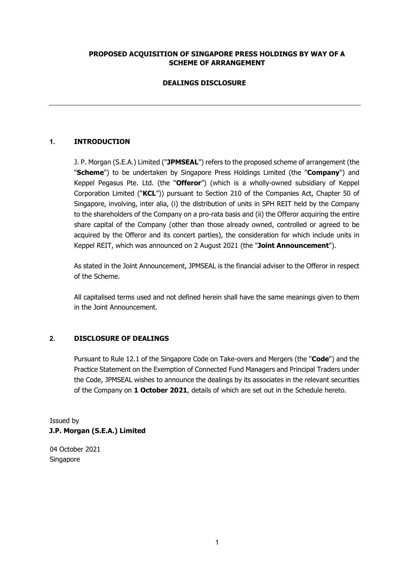# **PROPOSED ACQUISITION OF SINGAPORE PRESS HOLDINGS BY WAY OF A SCHEME OF ARRANGEMENT**

# **DEALINGS DISCLOSURE**

# **1. INTRODUCTION**

J. P. Morgan (S.E.A.) Limited ("**JPMSEAL**") refers to the proposed scheme of arrangement (the "**Scheme**") to be undertaken by Singapore Press Holdings Limited (the "**Company**") and Keppel Pegasus Pte. Ltd. (the "**Offeror**") (which is a wholly-owned subsidiary of Keppel Corporation Limited ("**KCL**")) pursuant to Section 210 of the Companies Act, Chapter 50 of Singapore, involving, inter alia, (i) the distribution of units in SPH REIT held by the Company to the shareholders of the Company on a pro-rata basis and (ii) the Offeror acquiring the entire share capital of the Company (other than those already owned, controlled or agreed to be acquired by the Offeror and its concert parties), the consideration for which include units in Keppel REIT, which was announced on 2 August 2021 (the "**Joint Announcement**").

As stated in the Joint Announcement, JPMSEAL is the financial adviser to the Offeror in respect of the Scheme.

All capitalised terms used and not defined herein shall have the same meanings given to them in the Joint Announcement.

### **2. DISCLOSURE OF DEALINGS**

Pursuant to Rule 12.1 of the Singapore Code on Take-overs and Mergers (the "**Code**") and the Practice Statement on the Exemption of Connected Fund Managers and Principal Traders under the Code, JPMSEAL wishes to announce the dealings by its associates in the relevant securities of the Company on **1 October 2021**, details of which are set out in the Schedule hereto.

Issued by **J.P. Morgan (S.E.A.) Limited** 

04 October 2021 Singapore